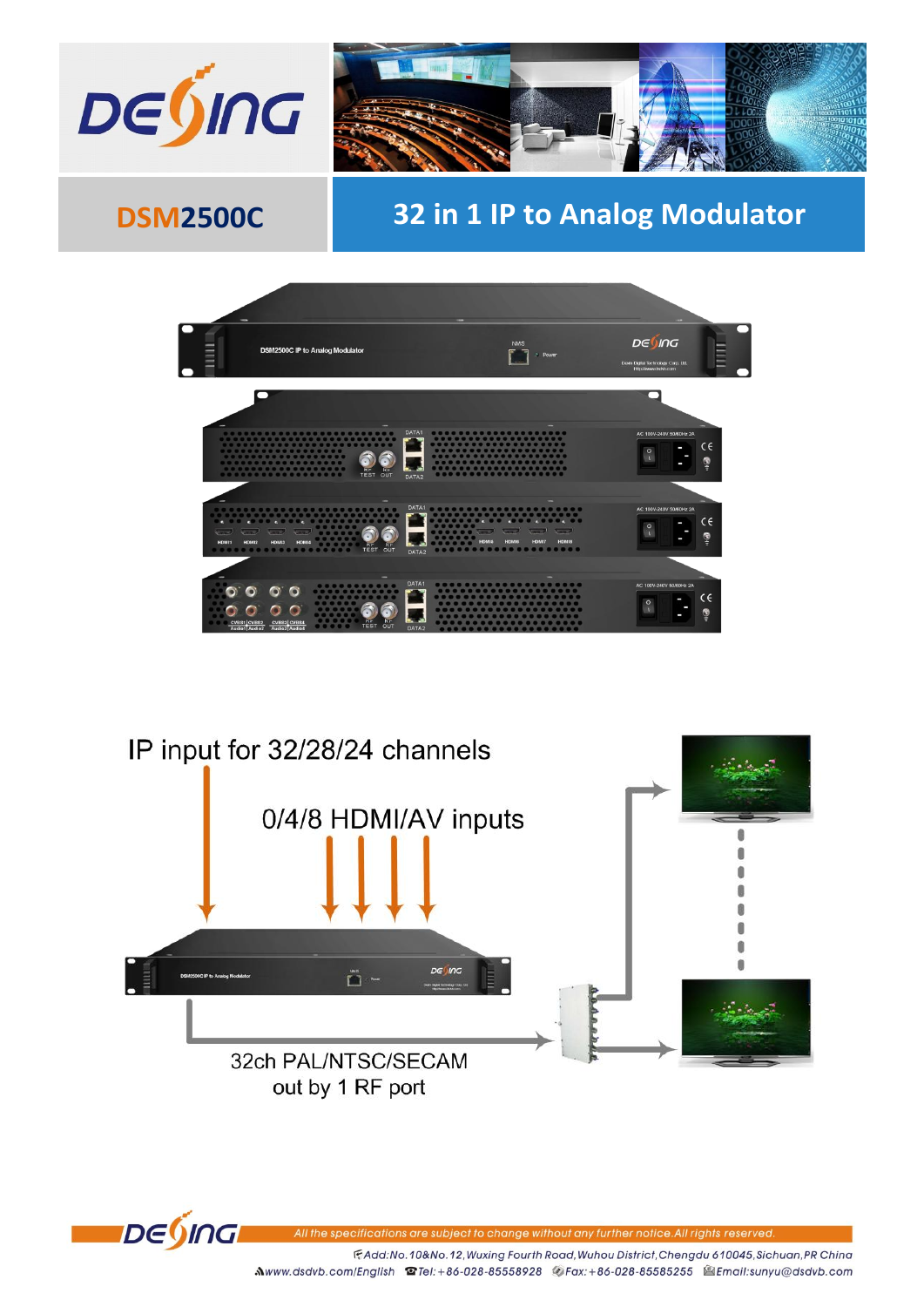



# **DSM2500C**

# 32 in 1 IP to Analog Modulator







All the specific ations are subject to change without any further notice.All rights reserved

F.Add:No.10&No.12, Wuxing Fourth Road, Wuhou District, Chengdu 610045, Sichuan, PR China Mwww.dsdvb.com/English <br> **Mwww.dsdvb.com/English <br>
Set Exteribute 38 45658928** <br>
Fax: +86-028-85585255 <br>
Set Email:sunyu@dsdvb.com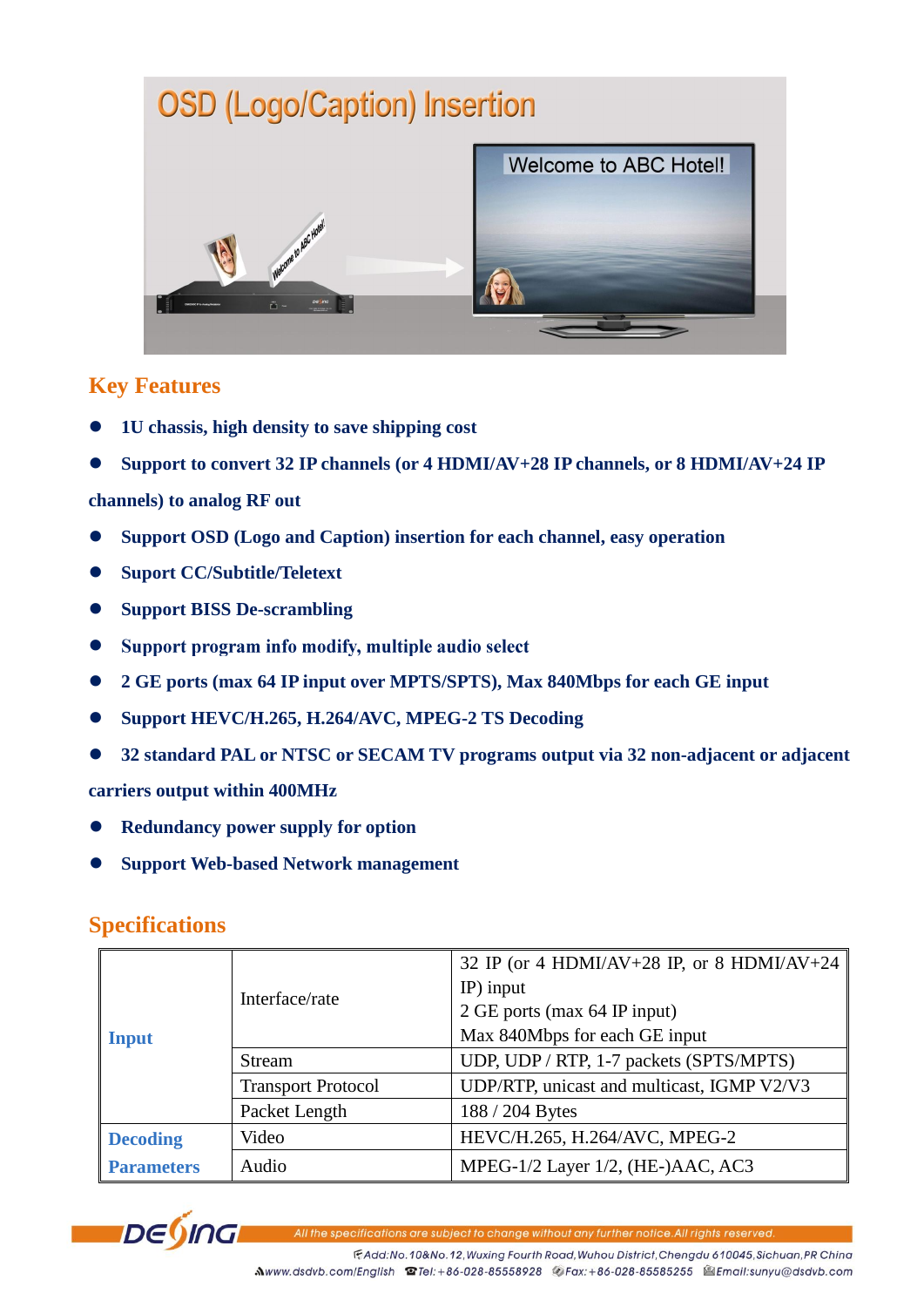# **OSD (Logo/Caption) Insertion**



### **Key Features**

- **1U chassis, high density to save shipping cost**
- **Support to convert 32 IP channels (or 4 HDMI/AV+28 IP channels, or 8 HDMI/AV+24 IP**

#### **channels) to analog RF out**

- **Support OSD (Logo and Caption) insertion for each channel, easy operation**
- $\bullet$  Suport CC/Subtitle/Teletext
- **•** Support BISS De-scrambling
- Support program info modify, multiple audio select  $\bullet$
- **2 GE ports (max 64 IP input over MPTS/SPTS), Max 840Mbps for each GE input**
- **Support HEVC/H.265, H.264/AVC, MPEG-2 TS Decoding**
- **32 standard PAL or NTSC or SECAM TV programs output via 32 non-adjacent or adjacent**

#### **carriers output within 400MHz**

- **Redundancy power supply for option**
- **Support Web-based Network management**

### **Specifications**

| <b>Input</b>      | Interface/rate            | 32 IP (or 4 HDMI/AV+28 IP, or 8 HDMI/AV+24 $\parallel$ |
|-------------------|---------------------------|--------------------------------------------------------|
|                   |                           | $IP$ ) input                                           |
|                   |                           | 2 GE ports (max 64 IP input)                           |
|                   |                           | Max 840Mbps for each GE input                          |
|                   | <b>Stream</b>             | UDP, UDP / RTP, 1-7 packets (SPTS/MPTS)                |
|                   | <b>Transport Protocol</b> | UDP/RTP, unicast and multicast, IGMP V2/V3             |
|                   | Packet Length             | 188 / 204 Bytes                                        |
| <b>Decoding</b>   | Video                     | HEVC/H.265, H.264/AVC, MPEG-2                          |
| <b>Parameters</b> | Audio                     | MPEG-1/2 Layer 1/2, (HE-)AAC, AC3                      |



ations are subject to change without any further notice. All rights reserved.

FAdd:No.10&No.12, Wuxing Fourth Road, Wuhou District, Chengdu 610045, Sichuan, PR China Mwww.dsdvb.com/English @Tel:+86-028-85558928 @Fax:+86-028-85585255 @Email:sunyu@dsdvb.com